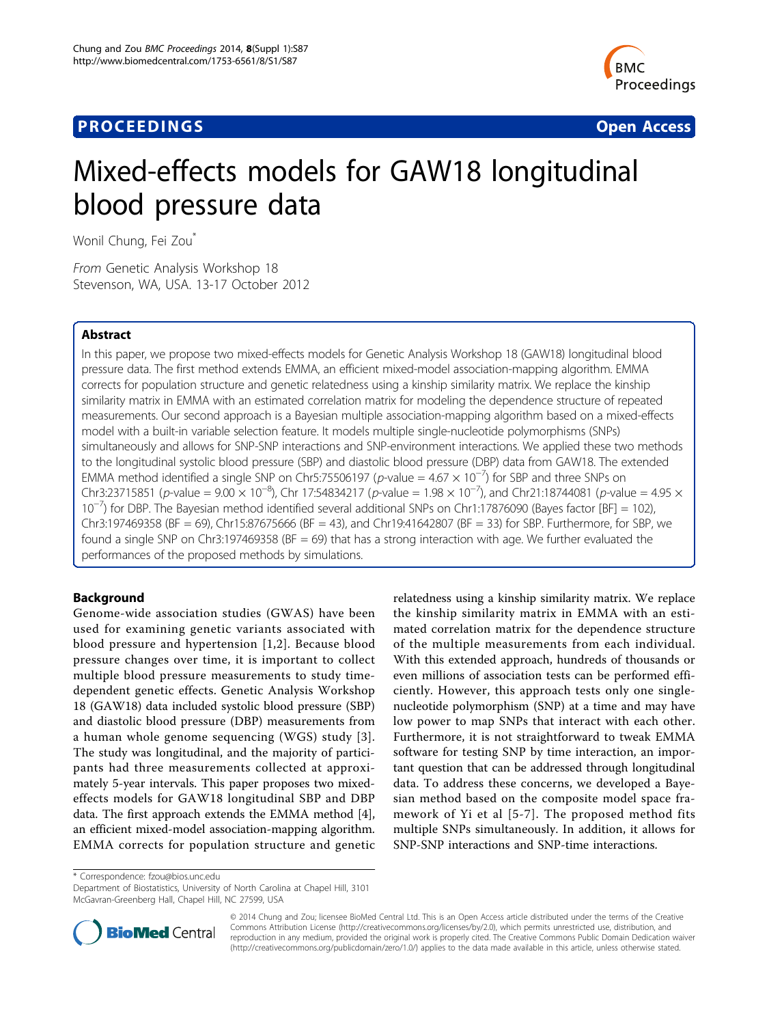## **PROCEEDINGS CONSIDERING S** Open Access **CONSIDERING S**



# Mixed-effects models for GAW18 longitudinal blood pressure data

Wonil Chung, Fei Zou\*

From Genetic Analysis Workshop 18 Stevenson, WA, USA. 13-17 October 2012

### Abstract

In this paper, we propose two mixed-effects models for Genetic Analysis Workshop 18 (GAW18) longitudinal blood pressure data. The first method extends EMMA, an efficient mixed-model association-mapping algorithm. EMMA corrects for population structure and genetic relatedness using a kinship similarity matrix. We replace the kinship similarity matrix in EMMA with an estimated correlation matrix for modeling the dependence structure of repeated measurements. Our second approach is a Bayesian multiple association-mapping algorithm based on a mixed-effects model with a built-in variable selection feature. It models multiple single-nucleotide polymorphisms (SNPs) simultaneously and allows for SNP-SNP interactions and SNP-environment interactions. We applied these two methods to the longitudinal systolic blood pressure (SBP) and diastolic blood pressure (DBP) data from GAW18. The extended EMMA method identified a single SNP on Chr5:75506197 (p-value =  $4.67 \times 10^{-7}$ ) for SBP and three SNPs on Chr3:23715851 (p-value = 9.00  $\times$  10<sup>-8</sup>), Chr 17:54834217 (p-value = 1.98  $\times$  10<sup>-7</sup>), and Chr21:18744081 (p-value = 4.95  $\times$ 10−<sup>7</sup> ) for DBP. The Bayesian method identified several additional SNPs on Chr1:17876090 (Bayes factor [BF] = 102), Chr3:197469358 (BF = 69), Chr15:87675666 (BF = 43), and Chr19:41642807 (BF = 33) for SBP. Furthermore, for SBP, we found a single SNP on Chr3:197469358 (BF = 69) that has a strong interaction with age. We further evaluated the performances of the proposed methods by simulations.

## Background

Genome-wide association studies (GWAS) have been used for examining genetic variants associated with blood pressure and hypertension [[1,2](#page-4-0)]. Because blood pressure changes over time, it is important to collect multiple blood pressure measurements to study timedependent genetic effects. Genetic Analysis Workshop 18 (GAW18) data included systolic blood pressure (SBP) and diastolic blood pressure (DBP) measurements from a human whole genome sequencing (WGS) study [[3\]](#page-4-0). The study was longitudinal, and the majority of participants had three measurements collected at approximately 5-year intervals. This paper proposes two mixedeffects models for GAW18 longitudinal SBP and DBP data. The first approach extends the EMMA method [\[4](#page-4-0)], an efficient mixed-model association-mapping algorithm. EMMA corrects for population structure and genetic

relatedness using a kinship similarity matrix. We replace the kinship similarity matrix in EMMA with an estimated correlation matrix for the dependence structure of the multiple measurements from each individual. With this extended approach, hundreds of thousands or even millions of association tests can be performed efficiently. However, this approach tests only one singlenucleotide polymorphism (SNP) at a time and may have low power to map SNPs that interact with each other. Furthermore, it is not straightforward to tweak EMMA software for testing SNP by time interaction, an important question that can be addressed through longitudinal data. To address these concerns, we developed a Bayesian method based on the composite model space framework of Yi et al [[5](#page-4-0)-[7\]](#page-4-0). The proposed method fits multiple SNPs simultaneously. In addition, it allows for SNP-SNP interactions and SNP-time interactions.

\* Correspondence: [fzou@bios.unc.edu](mailto:fzou@bios.unc.edu)

Department of Biostatistics, University of North Carolina at Chapel Hill, 3101 McGavran-Greenberg Hall, Chapel Hill, NC 27599, USA



© 2014 Chung and Zou; licensee BioMed Central Ltd. This is an Open Access article distributed under the terms of the Creative Commons Attribution License [\(http://creativecommons.org/licenses/by/2.0](http://creativecommons.org/licenses/by/2.0)), which permits unrestricted use, distribution, and reproduction in any medium, provided the original work is properly cited. The Creative Commons Public Domain Dedication waiver [\(http://creativecommons.org/publicdomain/zero/1.0/](http://creativecommons.org/publicdomain/zero/1.0/)) applies to the data made available in this article, unless otherwise stated.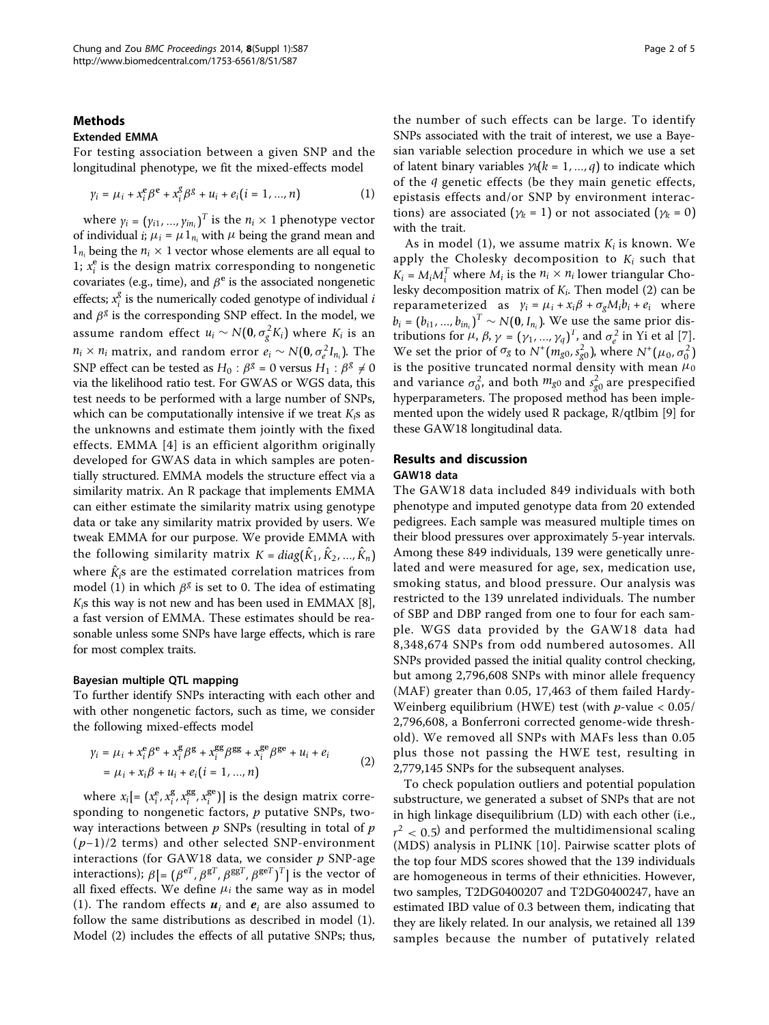#### Methods

#### Extended EMMA

For testing association between a given SNP and the longitudinal phenotype, we fit the mixed-effects model

$$
\gamma_i = \mu_i + x_i^e \beta^e + x_i^g \beta^g + u_i + e_i (i = 1, ..., n)
$$
 (1)

where  $\gamma_i = (\gamma_{i1}, ..., \gamma_{in_i})^T$  is the  $n_i \times 1$  phenotype vector of individual *i*;  $\mu_i = \mu \mathbb{1}_{n_i}$  with  $\mu$  being the grand mean and  $1_{n_i}$  being the  $n_i \times 1$  vector whose elements are all equal to 1;  $x_i^e$  is the design matrix corresponding to nongenetic covariates (e.g., time), and  $\beta^e$  is the associated nongenetic effects;  $x_i^g$  is the numerically coded genotype of individual  $i$ and β*<sup>g</sup>* is the corresponding SNP effect. In the model, we assume random effect  $u_i \sim N(0, \sigma_g^2 K_i)$  where  $K_i$  is an *n<sub>i</sub>* × *n<sub>i</sub>* matrix, and random error  $e_i \sim N(\mathbf{0}, \sigma_e^2 I_{n_i})$ . The SND effect can be tested as  $H_e \cdot 88 = 0$  versus  $H_e \cdot 88 \neq 0$ SNP effect can be tested as  $H_0$ :  $\beta^g = 0$  versus  $H_1$ :  $\beta^g \neq 0$ via the likelihood ratio test. For GWAS or WGS data, this test needs to be performed with a large number of SNPs, which can be computationally intensive if we treat *Ki*s as the unknowns and estimate them jointly with the fixed effects. EMMA [[4](#page-4-0)] is an efficient algorithm originally developed for GWAS data in which samples are potentially structured. EMMA models the structure effect via a similarity matrix. An R package that implements EMMA can either estimate the similarity matrix using genotype data or take any similarity matrix provided by users. We tweak EMMA for our purpose. We provide EMMA with the following similarity matrix  $K = diag(\hat{K}_1, \hat{K}_2, ..., \hat{K}_n)$ where  $\hat{K}_i$ s are the estimated correlation matrices from model (1) in which  $\beta^g$  is set to 0. The idea of estimating *Ki*s this way is not new and has been used in EMMAX [[8](#page-4-0)], a fast version of EMMA. These estimates should be reasonable unless some SNPs have large effects, which is rare for most complex traits.

#### Bayesian multiple QTL mapping

To further identify SNPs interacting with each other and with other nongenetic factors, such as time, we consider the following mixed-effects model

$$
\gamma_i = \mu_i + x_i^e \beta^e + x_i^g \beta^g + x_i^{gg} \beta^{gg} + x_i^{ge} \beta^{ge} + u_i + e_i
$$
  
= 
$$
\mu_i + x_i \beta + u_i + e_i (i = 1, ..., n)
$$
 (2)

where  $x_i$ [=  $(x_i^e, x_i^g, x_i^{gg}, x_i^{ge})$ ] is the design matrix corresponding to nongenetic factors,  $p$  putative SNPs, twoway interactions between  $p$  SNPs (resulting in total of  $p$  $(p-1)/2$  terms) and other selected SNP-environment interactions (for GAW18 data, we consider  $p$  SNP-age interactions);  $\beta$ [= ( $\beta^{\text{eT}}, \beta^{\text{gT}}, \beta^{\text{ggT}}, \beta^{\text{geT}})^T$ ] is the vector of all fixed effects. We define  $\mu_i$  the same way as in model (1). The random effects  $u_i$  and  $e_i$  are also assumed to follow the same distributions as described in model (1). Model (2) includes the effects of all putative SNPs; thus,

the number of such effects can be large. To identify SNPs associated with the trait of interest, we use a Bayesian variable selection procedure in which we use a set of latent binary variables  $\gamma_k(k = 1, ..., q)$  to indicate which of the *q* genetic effects (be they main genetic effects, epistasis effects and/or SNP by environment interactions) are associated ( $\gamma_k = 1$ ) or not associated ( $\gamma_k = 0$ ) with the trait.

As in model (1), we assume matrix  $K_i$  is known. We apply the Cholesky decomposition to  $K_i$  such that  $K_i = M_i M_i^T$  where  $M_i$  is the  $n_i \times n_i$  lower triangular Cholesky decomposition matrix of *Ki*. Then model (2) can be reparameterized as  $\gamma_i = \mu_i + x_i \beta + \sigma_g M_i b_i + e_i$  where  $b_i = (b_{i1}, ..., b_{in_i})^T \sim N(0, I_{n_i})$ . We use the same prior distributions for  $\mu \beta \gamma = (\gamma, \gamma)^T$  and  $\sigma^2$  in Yi et al [7] tributions for  $\mu$ ,  $\beta$ ,  $\gamma = (\gamma_1, ..., \gamma_q)^T$ , and  $\sigma_e^2$  in Yi et al [\[7](#page-4-0)]. We set the prior of  $\sigma_g$  to  $N^+(m_{g0}, s_{g0}^2)$ , where  $N^+(\mu_0, \sigma_0^2)$ is the positive truncated normal density with mean  $\mu_0$ and variance  $\sigma_0^2$ , and both  $m_{g0}$  and  $s_{g0}^2$  are prespecified hyperparameters. The proposed method has been implemented upon the widely used R package, R/qtlbim [\[9](#page-4-0)] for these GAW18 longitudinal data.

## Results and discussion

#### GAW18 data

The GAW18 data included 849 individuals with both phenotype and imputed genotype data from 20 extended pedigrees. Each sample was measured multiple times on their blood pressures over approximately 5-year intervals. Among these 849 individuals, 139 were genetically unrelated and were measured for age, sex, medication use, smoking status, and blood pressure. Our analysis was restricted to the 139 unrelated individuals. The number of SBP and DBP ranged from one to four for each sample. WGS data provided by the GAW18 data had 8,348,674 SNPs from odd numbered autosomes. All SNPs provided passed the initial quality control checking, but among 2,796,608 SNPs with minor allele frequency (MAF) greater than 0.05, 17,463 of them failed Hardy-Weinberg equilibrium (HWE) test (with  $p$ -value < 0.05/ 2,796,608, a Bonferroni corrected genome-wide threshold). We removed all SNPs with MAFs less than 0.05 plus those not passing the HWE test, resulting in 2,779,145 SNPs for the subsequent analyses.

To check population outliers and potential population substructure, we generated a subset of SNPs that are not in high linkage disequilibrium (LD) with each other (i.e.,  $r^2$   $<$  0.5) and performed the multidimensional scaling (MDS) analysis in PLINK [[10\]](#page-4-0). Pairwise scatter plots of the top four MDS scores showed that the 139 individuals are homogeneous in terms of their ethnicities. However, two samples, T2DG0400207 and T2DG0400247, have an estimated IBD value of 0.3 between them, indicating that they are likely related. In our analysis, we retained all 139 samples because the number of putatively related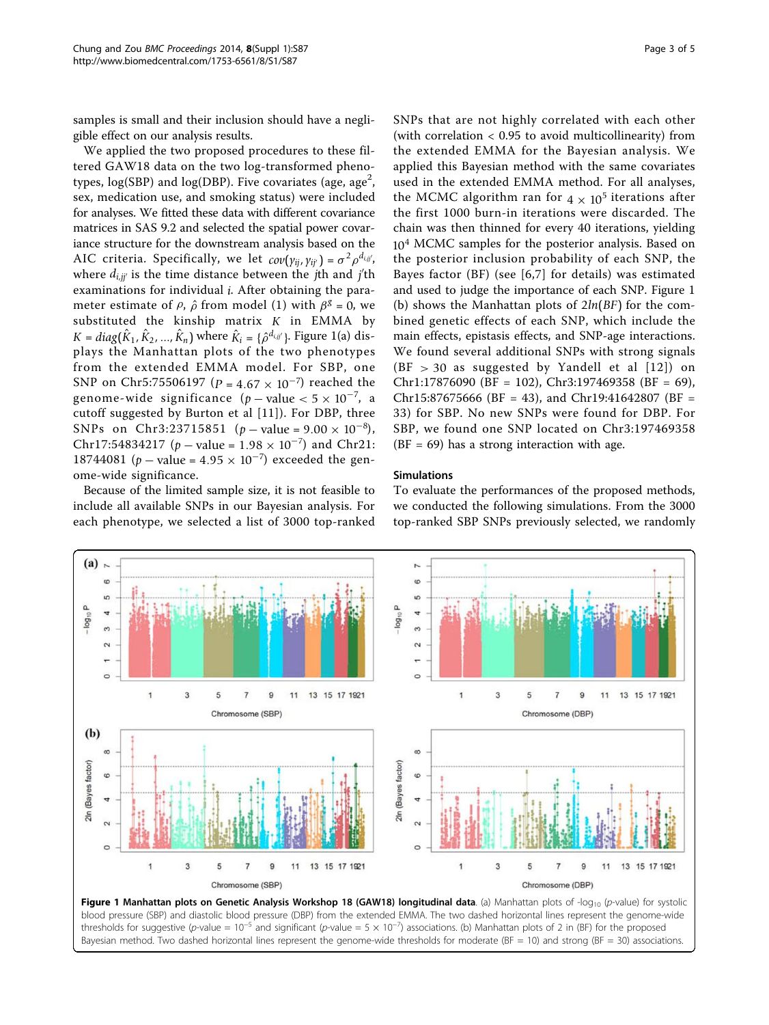samples is small and their inclusion should have a negligible effect on our analysis results.

We applied the two proposed procedures to these filtered GAW18 data on the two log-transformed phenotypes,  $\log(\mathrm{SBP})$  and  $\log(\mathrm{DBP}).$  Five covariates (age, age $^2,$ sex, medication use, and smoking status) were included for analyses. We fitted these data with different covariance matrices in SAS 9.2 and selected the spatial power covariance structure for the downstream analysis based on the AIC criteria. Specifically, we let  $cov(y_{ij}, y_{ij'}) = \sigma^2 \rho^{d_{i,jj'}}$ where *di*,*jj* is the time distance between the *j*th and *j* th examinations for individual *i*. After obtaining the parameter estimate of  $\rho$ ,  $\hat{\rho}$  from model (1) with  $\beta^g = 0$ , we substituted the kinship matrix *K* in EMMA by  $K = diag(\hat{K}_1, \hat{K}_2, ..., \hat{K}_n)$  where  $\hat{K}_i = {\hat{\rho}}^{d_{i,jj'}}$ . Figure 1(a) displays the Manhattan plots of the two phenotypes from the extended EMMA model. For SBP, one SNP on Chr5:75506197 (*P* = 4.67 × 10<sup>-7</sup>) reached the genome-wide significance  $(p - value < 5 \times 10^{-7})$ , a cutoff suggested by Burton et al [[11\]](#page-4-0)). For DBP, three SNPs on Chr3:23715851 ( $p$  – value = 9.00 × 10<sup>-8</sup>), Chr17:54834217 ( $p$  – value = 1.98 × 10<sup>-7</sup>) and Chr21: 18744081 (*p* – value =  $4.95 \times 10^{-7}$ ) exceeded the genome-wide significance.

Because of the limited sample size, it is not feasible to include all available SNPs in our Bayesian analysis. For each phenotype, we selected a list of 3000 top-ranked SNPs that are not highly correlated with each other (with correlation < 0.95 to avoid multicollinearity) from the extended EMMA for the Bayesian analysis. We applied this Bayesian method with the same covariates used in the extended EMMA method. For all analyses, the MCMC algorithm ran for  $4 \times 10^5$  iterations after the first 1000 burn-in iterations were discarded. The chain was then thinned for every 40 iterations, yielding 10<sup>4</sup> MCMC samples for the posterior analysis. Based on the posterior inclusion probability of each SNP, the Bayes factor (BF) (see [[6](#page-4-0),[7\]](#page-4-0) for details) was estimated and used to judge the importance of each SNP. Figure 1 (b) shows the Manhattan plots of 2*ln*(*BF*) for the combined genetic effects of each SNP, which include the main effects, epistasis effects, and SNP-age interactions. We found several additional SNPs with strong signals  $(BF > 30$  as suggested by Yandell et al  $[12]$  $[12]$  $[12]$  on Chr1:17876090 (BF = 102), Chr3:197469358 (BF = 69), Chr15:87675666 (BF = 43), and Chr19:41642807 (BF = 33) for SBP. No new SNPs were found for DBP. For SBP, we found one SNP located on Chr3:197469358

#### Simulations

To evaluate the performances of the proposed methods, we conducted the following simulations. From the 3000 top-ranked SBP SNPs previously selected, we randomly

 $(BF = 69)$  has a strong interaction with age.



Bayesian method. Two dashed horizontal lines represent the genome-wide thresholds for moderate (BF = 10) and strong (BF = 30) associations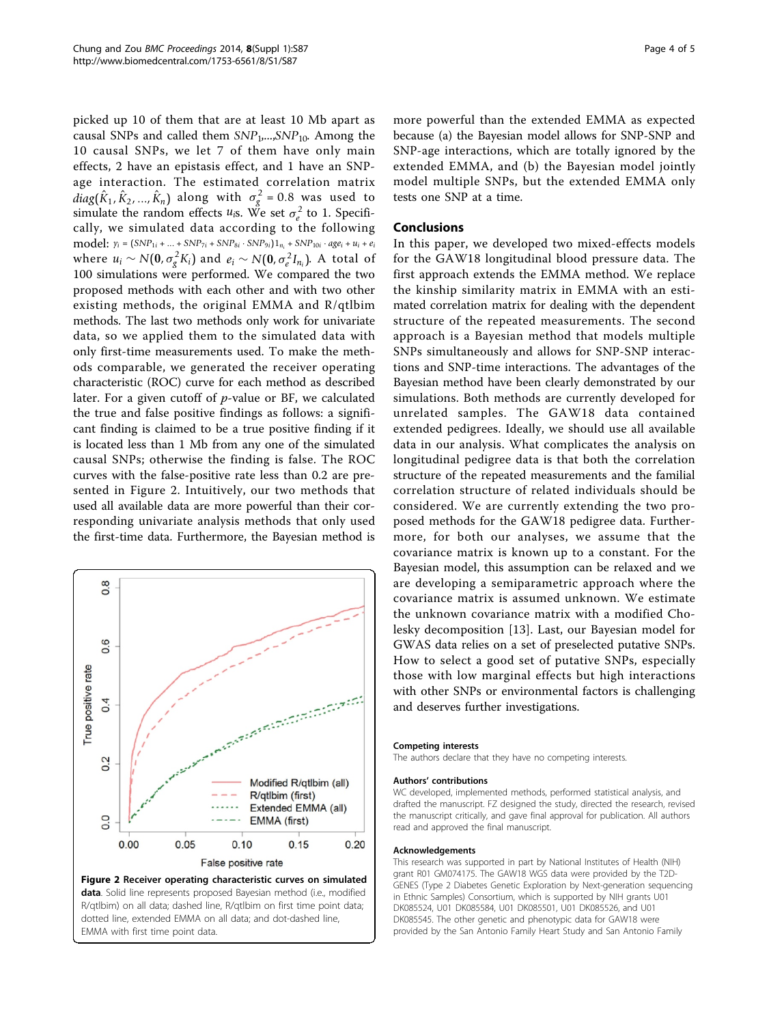picked up 10 of them that are at least 10 Mb apart as causal SNPs and called them *SNP*1,...,*SNP*10. Among the 10 causal SNPs, we let 7 of them have only main effects, 2 have an epistasis effect, and 1 have an SNPage interaction. The estimated correlation matrix  $diag(\hat{K}_1, \hat{K}_2, ..., \hat{K}_n)$  along with  $\sigma_g^2 = 0.8$  was used to simulate the random effects  $u_{iS}$ . We set  $\sigma_e^2$  to 1. Specifically, we simulated data according to the following model: *yi* <sup>=</sup> (*SNP*1*<sup>i</sup>* + ... + *SNP*7*<sup>i</sup>* <sup>+</sup> *SNP*8*<sup>i</sup>* · *SNP*9*i*)1*ni* <sup>+</sup> *SNP*10*<sup>i</sup>* · *agei* <sup>+</sup> *ui* <sup>+</sup> *ei* where  $u_i \sim N(0, \sigma_g^2 K_i)$  and  $e_i \sim N(0, \sigma_e^2 I_{n_i})$ . A total of *Ne c*ompared the two 100 simulations were performed. We compared the two proposed methods with each other and with two other existing methods, the original EMMA and R/qtlbim methods. The last two methods only work for univariate data, so we applied them to the simulated data with only first-time measurements used. To make the methods comparable, we generated the receiver operating characteristic (ROC) curve for each method as described later. For a given cutoff of p-value or BF, we calculated the true and false positive findings as follows: a significant finding is claimed to be a true positive finding if it is located less than 1 Mb from any one of the simulated causal SNPs; otherwise the finding is false. The ROC curves with the false-positive rate less than 0.2 are presented in Figure 2. Intuitively, our two methods that used all available data are more powerful than their corresponding univariate analysis methods that only used the first-time data. Furthermore, the Bayesian method is





more powerful than the extended EMMA as expected because (a) the Bayesian model allows for SNP-SNP and SNP-age interactions, which are totally ignored by the extended EMMA, and (b) the Bayesian model jointly model multiple SNPs, but the extended EMMA only tests one SNP at a time.

#### Conclusions

In this paper, we developed two mixed-effects models for the GAW18 longitudinal blood pressure data. The first approach extends the EMMA method. We replace the kinship similarity matrix in EMMA with an estimated correlation matrix for dealing with the dependent structure of the repeated measurements. The second approach is a Bayesian method that models multiple SNPs simultaneously and allows for SNP-SNP interactions and SNP-time interactions. The advantages of the Bayesian method have been clearly demonstrated by our simulations. Both methods are currently developed for unrelated samples. The GAW18 data contained extended pedigrees. Ideally, we should use all available data in our analysis. What complicates the analysis on longitudinal pedigree data is that both the correlation structure of the repeated measurements and the familial correlation structure of related individuals should be considered. We are currently extending the two proposed methods for the GAW18 pedigree data. Furthermore, for both our analyses, we assume that the covariance matrix is known up to a constant. For the Bayesian model, this assumption can be relaxed and we are developing a semiparametric approach where the covariance matrix is assumed unknown. We estimate the unknown covariance matrix with a modified Cholesky decomposition [\[13\]](#page-4-0). Last, our Bayesian model for GWAS data relies on a set of preselected putative SNPs. How to select a good set of putative SNPs, especially those with low marginal effects but high interactions with other SNPs or environmental factors is challenging and deserves further investigations.

#### Competing interests

The authors declare that they have no competing interests.

#### Authors' contributions

WC developed, implemented methods, performed statistical analysis, and drafted the manuscript. FZ designed the study, directed the research, revised the manuscript critically, and gave final approval for publication. All authors read and approved the final manuscript.

#### Acknowledgements

This research was supported in part by National Institutes of Health (NIH) grant R01 GM074175. The GAW18 WGS data were provided by the T2D-GENES (Type 2 Diabetes Genetic Exploration by Next-generation sequencing in Ethnic Samples) Consortium, which is supported by NIH grants U01 DK085524, U01 DK085584, U01 DK085501, U01 DK085526, and U01 DK085545. The other genetic and phenotypic data for GAW18 were provided by the San Antonio Family Heart Study and San Antonio Family